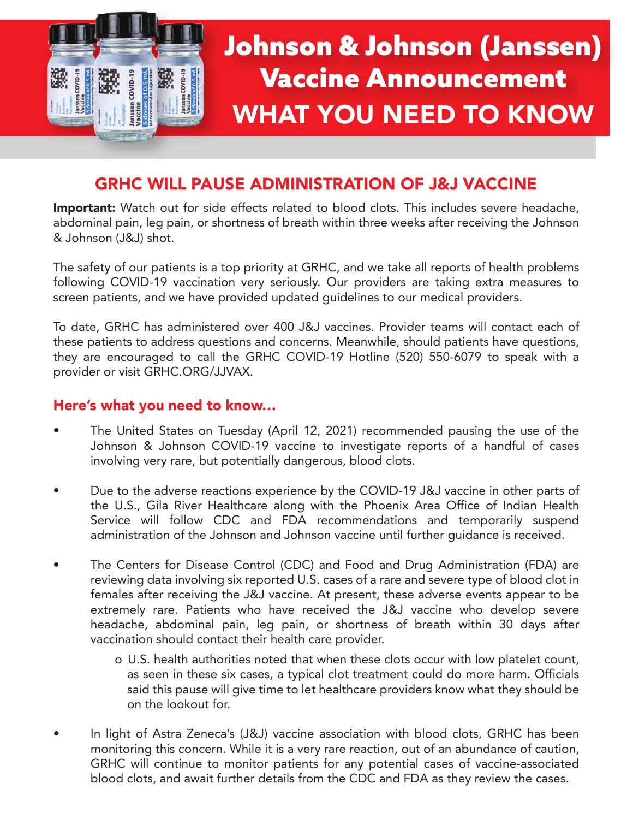

# GRHC WILL PAUSE ADMINISTRATION OF J&J VACCINE

**Important:** Watch out for side effects related to blood clots. This includes severe headache, abdominal pain, leg pain, or shortness of breath within three weeks after receiving the Johnson & Johnson (J&J) shot.

The safety of our patients is a top priority at GRHC, and we take all reports of health problems following COVID-19 vaccination very seriously. Our providers are taking extra measures to screen patients, and we have provided updated guidelines to our medical providers.

To date, GRHC has administered over 400 J&J vaccines. Provider teams will contact each of these patients to address questions and concerns. Meanwhile, should patients have questions, they are encouraged to call the GRHC COVID-19 Hotline (520) 550-6079 to speak with a provider or visit [GRHC.ORG/JJVAX.](http://grhc.org/jjvax/)

#### Here's what you need to know…

- The United States on Tuesday (April 12, 2021) recommended pausing the use of the Johnson & Johnson COVID-19 vaccine to investigate reports of a handful of cases involving very rare, but potentially dangerous, blood clots.
- Due to the adverse reactions experience by the COVID-19 J&J vaccine in other parts of the U.S., Gila River Healthcare along with the Phoenix Area Office of Indian Health Service will follow CDC and FDA recommendations and temporarily suspend administration of the Johnson and Johnson vaccine until further guidance is received.
- The Centers for Disease Control (CDC) and Food and Drug Administration (FDA) are reviewing data involving six reported U.S. cases of a rare and severe type of blood clot in females after receiving the J&J vaccine. At present, these adverse events appear to be extremely rare. Patients who have received the J&J vaccine who develop severe headache, abdominal pain, leg pain, or shortness of breath within 30 days after vaccination should contact their health care provider.
	- o U.S. health authorities noted that when these clots occur with low platelet count, as seen in these six cases, a typical clot treatment could do more harm. Officials said this pause will give time to let healthcare providers know what they should be on the lookout for.
- In light of Astra Zeneca's (J&J) vaccine association with blood clots, GRHC has been monitoring this concern. While it is a very rare reaction, out of an abundance of caution, GRHC will continue to monitor patients for any potential cases of vaccine-associated blood clots, and await further details from the CDC and FDA as they review the cases.